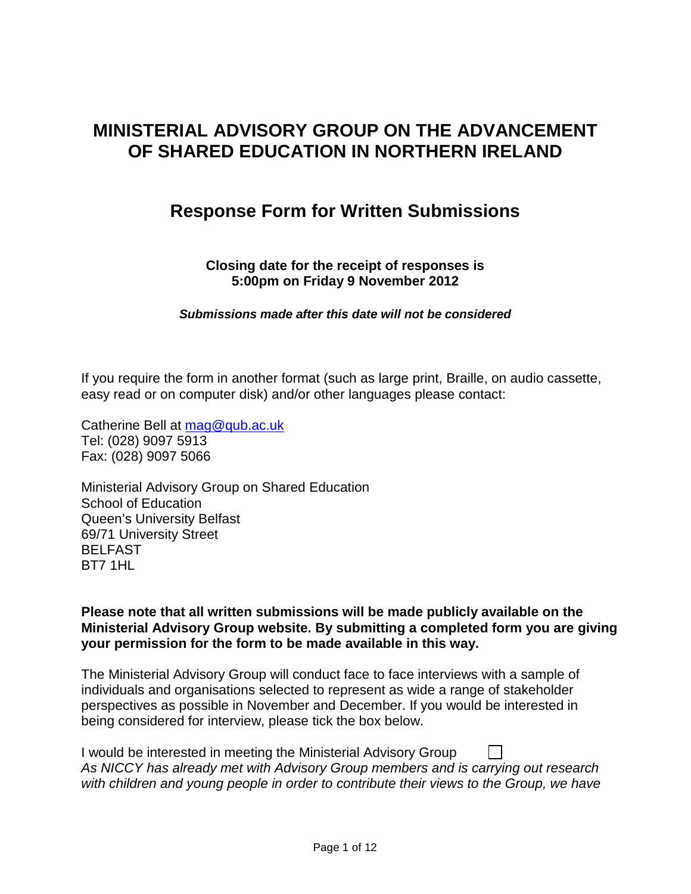# **MINISTERIAL ADVISORY GROUP ON THE ADVANCEMENT OF SHARED EDUCATION IN NORTHERN IRELAND**

# **Response Form for Written Submissions**

**Closing date for the receipt of responses is 5:00pm on Friday 9 November 2012**

*Submissions made after this date will not be considered*

If you require the form in another format (such as large print, Braille, on audio cassette, easy read or on computer disk) and/or other languages please contact:

Catherine Bell at [mag@qub.ac.uk](mailto:mag@qub.ac.uk) Tel: (028) 9097 5913 Fax: (028) 9097 5066

Ministerial Advisory Group on Shared Education School of Education Queen's University Belfast 69/71 University Street BELFAST BT7 1HL

**Please note that all written submissions will be made publicly available on the Ministerial Advisory Group website. By submitting a completed form you are giving your permission for the form to be made available in this way.**

The Ministerial Advisory Group will conduct face to face interviews with a sample of individuals and organisations selected to represent as wide a range of stakeholder perspectives as possible in November and December. If you would be interested in being considered for interview, please tick the box below.

| I would be interested in meeting the Ministerial Advisory Group                         |
|-----------------------------------------------------------------------------------------|
| As NICCY has already met with Advisory Group members and is carrying out research       |
| with children and young people in order to contribute their views to the Group, we have |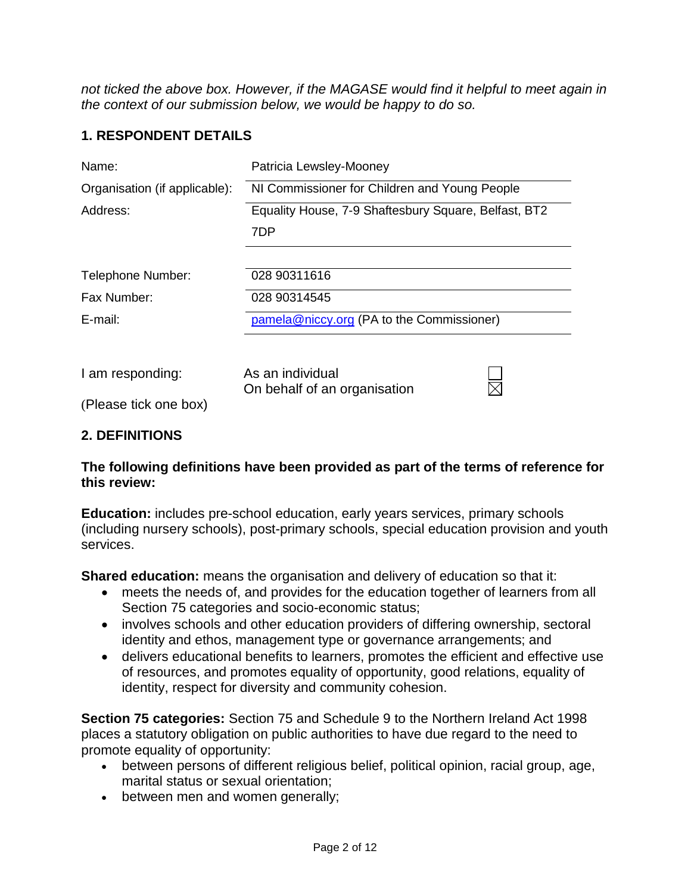*not ticked the above box. However, if the MAGASE would find it helpful to meet again in the context of our submission below, we would be happy to do so.* 

## **1. RESPONDENT DETAILS**

| Name:                         | Patricia Lewsley-Mooney                              |
|-------------------------------|------------------------------------------------------|
| Organisation (if applicable): | NI Commissioner for Children and Young People        |
| Address:                      | Equality House, 7-9 Shaftesbury Square, Belfast, BT2 |
|                               | 7DP                                                  |
|                               |                                                      |
| Telephone Number:             | 028 90311616                                         |
| Fax Number:                   | 028 90314545                                         |
| $E$ -mail:                    | pamela@niccy.org (PA to the Commissioner)            |
|                               |                                                      |
| I am responding:              | As an individual<br>On behalf of an organisation     |
| (Please tick one box)         |                                                      |

## **2. DEFINITIONS**

#### **The following definitions have been provided as part of the terms of reference for this review:**

**Education:** includes pre-school education, early years services, primary schools (including nursery schools), post-primary schools, special education provision and youth services.

**Shared education:** means the organisation and delivery of education so that it:

- meets the needs of, and provides for the education together of learners from all Section 75 categories and socio-economic status;
- involves schools and other education providers of differing ownership, sectoral identity and ethos, management type or governance arrangements; and
- delivers educational benefits to learners, promotes the efficient and effective use of resources, and promotes equality of opportunity, good relations, equality of identity, respect for diversity and community cohesion.

**Section 75 categories:** Section 75 and Schedule 9 to the Northern Ireland Act 1998 places a statutory obligation on public authorities to have due regard to the need to promote equality of opportunity:

- between persons of different religious belief, political opinion, racial group, age, marital status or sexual orientation;
- between men and women generally;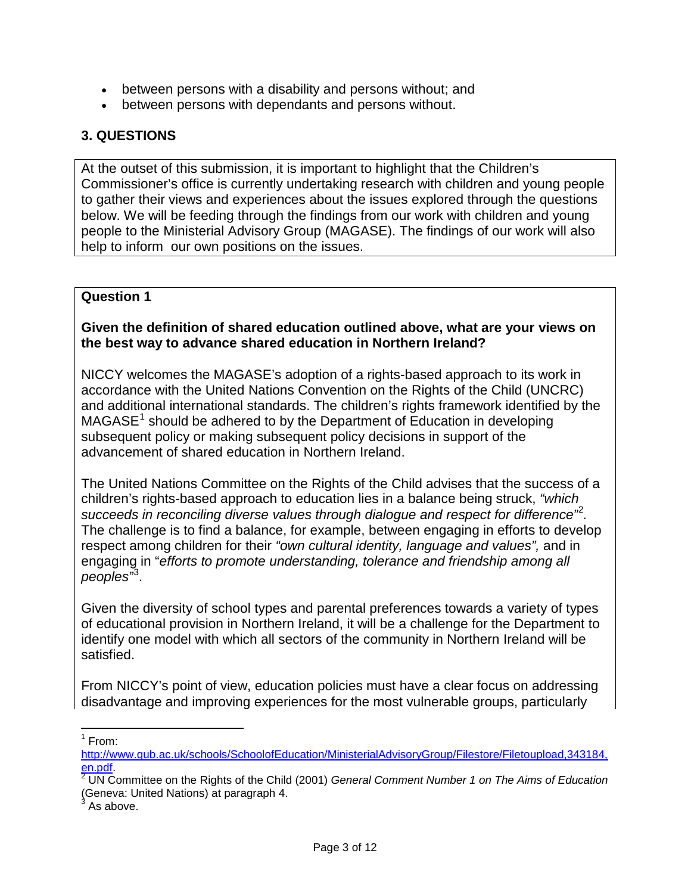- between persons with a disability and persons without; and
- between persons with dependants and persons without.

## **3. QUESTIONS**

At the outset of this submission, it is important to highlight that the Children's Commissioner's office is currently undertaking research with children and young people to gather their views and experiences about the issues explored through the questions below. We will be feeding through the findings from our work with children and young people to the Ministerial Advisory Group (MAGASE). The findings of our work will also help to inform our own positions on the issues.

## **Question 1**

## **Given the definition of shared education outlined above, what are your views on the best way to advance shared education in Northern Ireland?**

NICCY welcomes the MAGASE's adoption of a rights-based approach to its work in accordance with the United Nations Convention on the Rights of the Child (UNCRC) and additional international standards. The children's rights framework identified by the  $MAGASE<sup>1</sup>$  $MAGASE<sup>1</sup>$  $MAGASE<sup>1</sup>$  should be adhered to by the Department of Education in developing subsequent policy or making subsequent policy decisions in support of the advancement of shared education in Northern Ireland.

The United Nations Committee on the Rights of the Child advises that the success of a children's rights-based approach to education lies in a balance being struck, *"which succeeds in reconciling diverse values through dialogue and respect for difference"* [2](#page-2-1) *.* The challenge is to find a balance, for example, between engaging in efforts to develop respect among children for their *"own cultural identity, language and values",* and in engaging in "*efforts to promote understanding, tolerance and friendship among all peoples"* [3](#page-2-2) .

Given the diversity of school types and parental preferences towards a variety of types of educational provision in Northern Ireland, it will be a challenge for the Department to identify one model with which all sectors of the community in Northern Ireland will be satisfied.

From NICCY's point of view, education policies must have a clear focus on addressing disadvantage and improving experiences for the most vulnerable groups, particularly

 $1$  From:

<span id="page-2-0"></span>[http://www.qub.ac.uk/schools/SchoolofEducation/MinisterialAdvisoryGroup/Filestore/Filetoupload,343184,](http://www.qub.ac.uk/schools/SchoolofEducation/MinisterialAdvisoryGroup/Filestore/Filetoupload,343184,en.pdf) [en.pdf.](http://www.qub.ac.uk/schools/SchoolofEducation/MinisterialAdvisoryGroup/Filestore/Filetoupload,343184,en.pdf) <sup>2</sup> UN Committee on the Rights of the Child (2001) *General Comment Number 1 on The Aims of Education*

<span id="page-2-1"></span><sup>(</sup>Geneva: United Nations) at paragraph 4.

<span id="page-2-2"></span>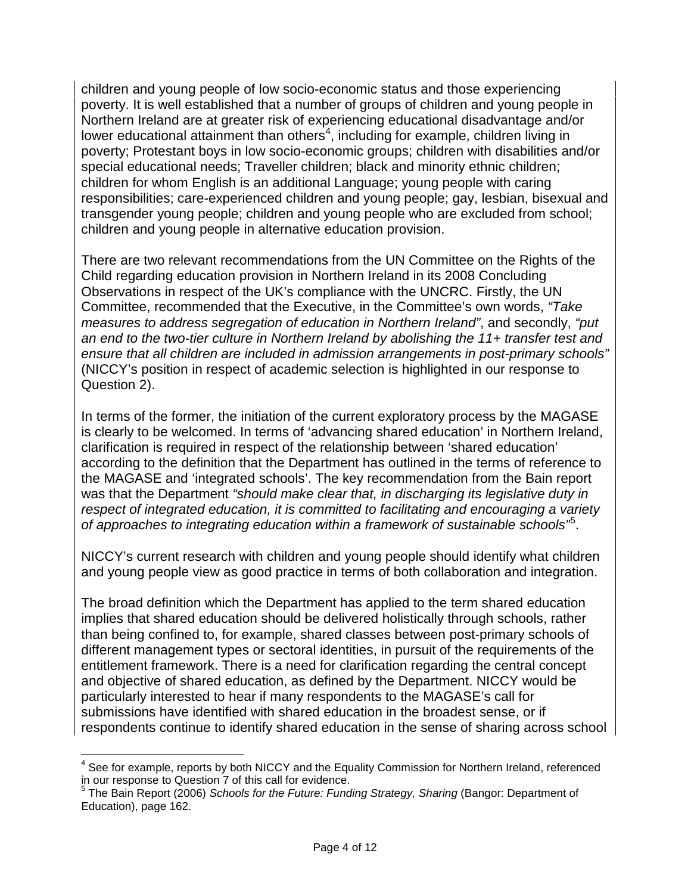children and young people of low socio-economic status and those experiencing poverty. It is well established that a number of groups of children and young people in Northern Ireland are at greater risk of experiencing educational disadvantage and/or lower educational attainment than others $4$ , including for example, children living in poverty; Protestant boys in low socio-economic groups; children with disabilities and/or special educational needs; Traveller children; black and minority ethnic children; children for whom English is an additional Language; young people with caring responsibilities; care-experienced children and young people; gay, lesbian, bisexual and transgender young people; children and young people who are excluded from school; children and young people in alternative education provision.

There are two relevant recommendations from the UN Committee on the Rights of the Child regarding education provision in Northern Ireland in its 2008 Concluding Observations in respect of the UK's compliance with the UNCRC. Firstly, the UN Committee, recommended that the Executive, in the Committee's own words, *"Take measures to address segregation of education in Northern Ireland"*, and secondly, *"put an end to the two-tier culture in Northern Ireland by abolishing the 11+ transfer test and ensure that all children are included in admission arrangements in post-primary schools"* (NICCY's position in respect of academic selection is highlighted in our response to Question 2).

In terms of the former, the initiation of the current exploratory process by the MAGASE is clearly to be welcomed. In terms of 'advancing shared education' in Northern Ireland, clarification is required in respect of the relationship between 'shared education' according to the definition that the Department has outlined in the terms of reference to the MAGASE and 'integrated schools'. The key recommendation from the Bain report was that the Department *"should make clear that, in discharging its legislative duty in respect of integrated education, it is committed to facilitating and encouraging a variety of approaches to integrating education within a framework of sustainable schools"*[5](#page-3-1) .

NICCY's current research with children and young people should identify what children and young people view as good practice in terms of both collaboration and integration.

The broad definition which the Department has applied to the term shared education implies that shared education should be delivered holistically through schools, rather than being confined to, for example, shared classes between post-primary schools of different management types or sectoral identities, in pursuit of the requirements of the entitlement framework. There is a need for clarification regarding the central concept and objective of shared education, as defined by the Department. NICCY would be particularly interested to hear if many respondents to the MAGASE's call for submissions have identified with shared education in the broadest sense, or if respondents continue to identify shared education in the sense of sharing across school

<span id="page-3-0"></span> $4$  See for example, reports by both NICCY and the Equality Commission for Northern Ireland, referenced in our response to Question 7 of this call for evidence.

<span id="page-3-1"></span><sup>&</sup>lt;sup>5</sup> The Bain Report (2006) *Schools for the Future: Funding Strategy, Sharing* (Bangor: Department of Education), page 162.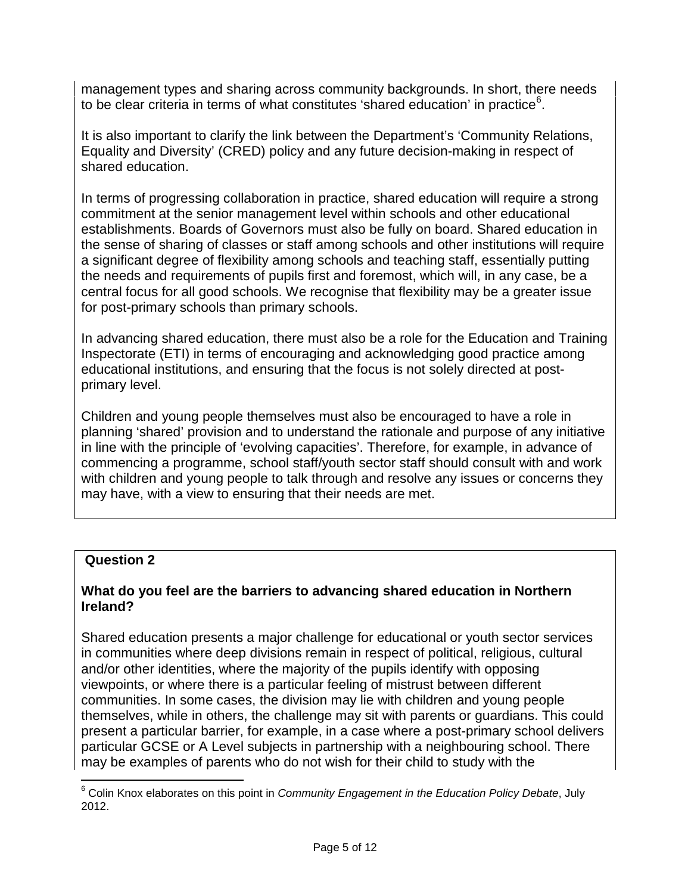management types and sharing across community backgrounds. In short, there needs to be clear criteria in terms of what constitutes 'shared education' in practice<sup>[6](#page-4-0)</sup>.

It is also important to clarify the link between the Department's 'Community Relations, Equality and Diversity' (CRED) policy and any future decision-making in respect of shared education.

In terms of progressing collaboration in practice, shared education will require a strong commitment at the senior management level within schools and other educational establishments. Boards of Governors must also be fully on board. Shared education in the sense of sharing of classes or staff among schools and other institutions will require a significant degree of flexibility among schools and teaching staff, essentially putting the needs and requirements of pupils first and foremost, which will, in any case, be a central focus for all good schools. We recognise that flexibility may be a greater issue for post-primary schools than primary schools.

In advancing shared education, there must also be a role for the Education and Training Inspectorate (ETI) in terms of encouraging and acknowledging good practice among educational institutions, and ensuring that the focus is not solely directed at postprimary level.

Children and young people themselves must also be encouraged to have a role in planning 'shared' provision and to understand the rationale and purpose of any initiative in line with the principle of 'evolving capacities'. Therefore, for example, in advance of commencing a programme, school staff/youth sector staff should consult with and work with children and young people to talk through and resolve any issues or concerns they may have, with a view to ensuring that their needs are met.

## **Question 2**

## **What do you feel are the barriers to advancing shared education in Northern Ireland?**

Shared education presents a major challenge for educational or youth sector services in communities where deep divisions remain in respect of political, religious, cultural and/or other identities, where the majority of the pupils identify with opposing viewpoints, or where there is a particular feeling of mistrust between different communities. In some cases, the division may lie with children and young people themselves, while in others, the challenge may sit with parents or guardians. This could present a particular barrier, for example, in a case where a post-primary school delivers particular GCSE or A Level subjects in partnership with a neighbouring school. There may be examples of parents who do not wish for their child to study with the

<span id="page-4-0"></span><sup>6</sup> Colin Knox elaborates on this point in *Community Engagement in the Education Policy Debate*, July 2012.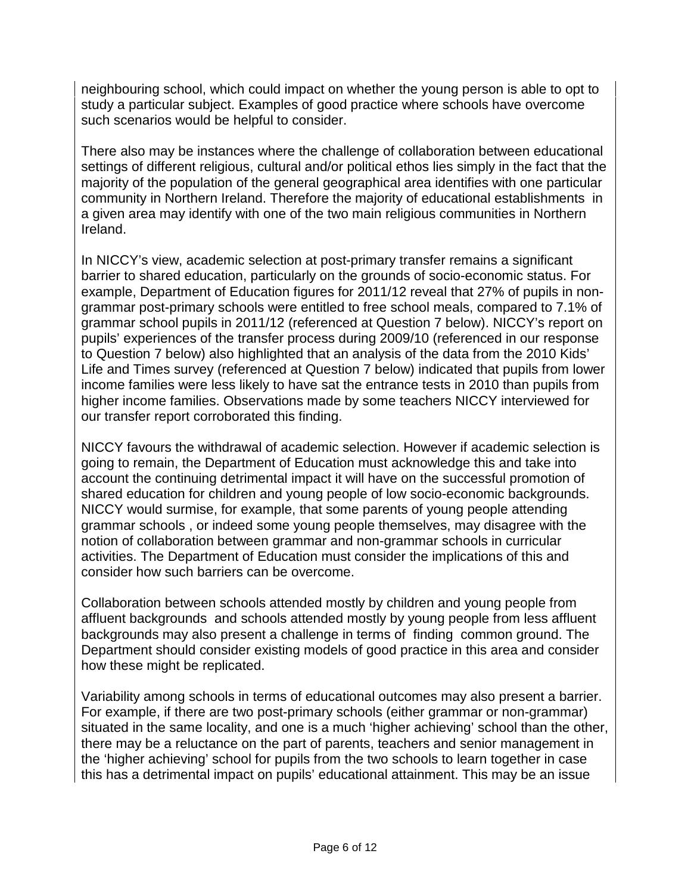neighbouring school, which could impact on whether the young person is able to opt to study a particular subject. Examples of good practice where schools have overcome such scenarios would be helpful to consider.

There also may be instances where the challenge of collaboration between educational settings of different religious, cultural and/or political ethos lies simply in the fact that the majority of the population of the general geographical area identifies with one particular community in Northern Ireland. Therefore the majority of educational establishments in a given area may identify with one of the two main religious communities in Northern Ireland.

In NICCY's view, academic selection at post-primary transfer remains a significant barrier to shared education, particularly on the grounds of socio-economic status. For example, Department of Education figures for 2011/12 reveal that 27% of pupils in nongrammar post-primary schools were entitled to free school meals, compared to 7.1% of grammar school pupils in 2011/12 (referenced at Question 7 below). NICCY's report on pupils' experiences of the transfer process during 2009/10 (referenced in our response to Question 7 below) also highlighted that an analysis of the data from the 2010 Kids' Life and Times survey (referenced at Question 7 below) indicated that pupils from lower income families were less likely to have sat the entrance tests in 2010 than pupils from higher income families. Observations made by some teachers NICCY interviewed for our transfer report corroborated this finding.

NICCY favours the withdrawal of academic selection. However if academic selection is going to remain, the Department of Education must acknowledge this and take into account the continuing detrimental impact it will have on the successful promotion of shared education for children and young people of low socio-economic backgrounds. NICCY would surmise, for example, that some parents of young people attending grammar schools , or indeed some young people themselves, may disagree with the notion of collaboration between grammar and non-grammar schools in curricular activities. The Department of Education must consider the implications of this and consider how such barriers can be overcome.

Collaboration between schools attended mostly by children and young people from affluent backgrounds and schools attended mostly by young people from less affluent backgrounds may also present a challenge in terms of finding common ground. The Department should consider existing models of good practice in this area and consider how these might be replicated.

Variability among schools in terms of educational outcomes may also present a barrier. For example, if there are two post-primary schools (either grammar or non-grammar) situated in the same locality, and one is a much 'higher achieving' school than the other, there may be a reluctance on the part of parents, teachers and senior management in the 'higher achieving' school for pupils from the two schools to learn together in case this has a detrimental impact on pupils' educational attainment. This may be an issue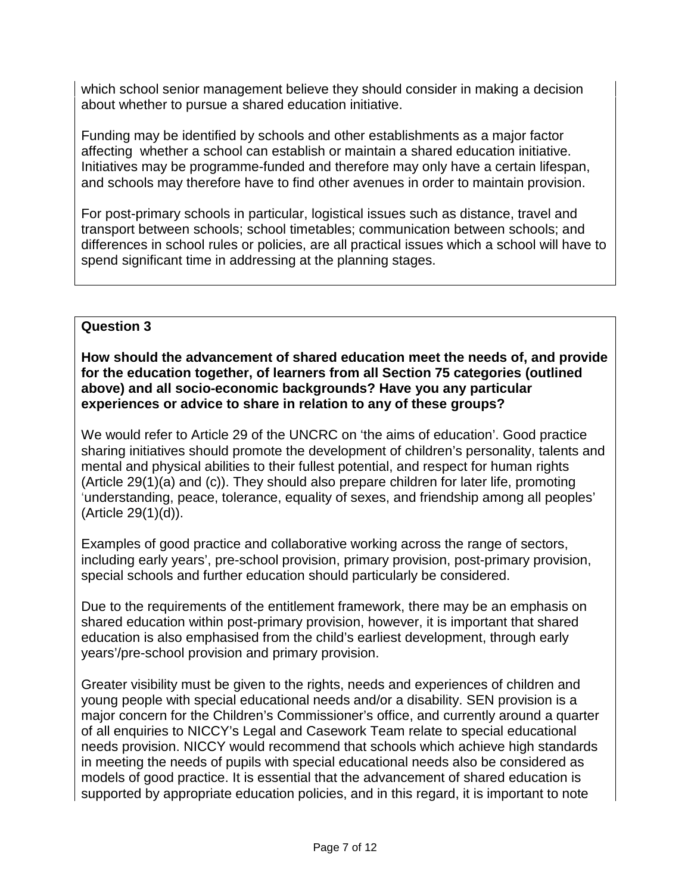which school senior management believe they should consider in making a decision about whether to pursue a shared education initiative.

Funding may be identified by schools and other establishments as a major factor affecting whether a school can establish or maintain a shared education initiative. Initiatives may be programme-funded and therefore may only have a certain lifespan, and schools may therefore have to find other avenues in order to maintain provision.

For post-primary schools in particular, logistical issues such as distance, travel and transport between schools; school timetables; communication between schools; and differences in school rules or policies, are all practical issues which a school will have to spend significant time in addressing at the planning stages.

## **Question 3**

**How should the advancement of shared education meet the needs of, and provide for the education together, of learners from all Section 75 categories (outlined above) and all socio-economic backgrounds? Have you any particular experiences or advice to share in relation to any of these groups?**

We would refer to Article 29 of the UNCRC on 'the aims of education'. Good practice sharing initiatives should promote the development of children's personality, talents and mental and physical abilities to their fullest potential, and respect for human rights (Article 29(1)(a) and (c)). They should also prepare children for later life, promoting 'understanding, peace, tolerance, equality of sexes, and friendship among all peoples' (Article 29(1)(d)).

Examples of good practice and collaborative working across the range of sectors, including early years', pre-school provision, primary provision, post-primary provision, special schools and further education should particularly be considered.

Due to the requirements of the entitlement framework, there may be an emphasis on shared education within post-primary provision, however, it is important that shared education is also emphasised from the child's earliest development, through early years'/pre-school provision and primary provision.

Greater visibility must be given to the rights, needs and experiences of children and young people with special educational needs and/or a disability. SEN provision is a major concern for the Children's Commissioner's office, and currently around a quarter of all enquiries to NICCY's Legal and Casework Team relate to special educational needs provision. NICCY would recommend that schools which achieve high standards in meeting the needs of pupils with special educational needs also be considered as models of good practice. It is essential that the advancement of shared education is supported by appropriate education policies, and in this regard, it is important to note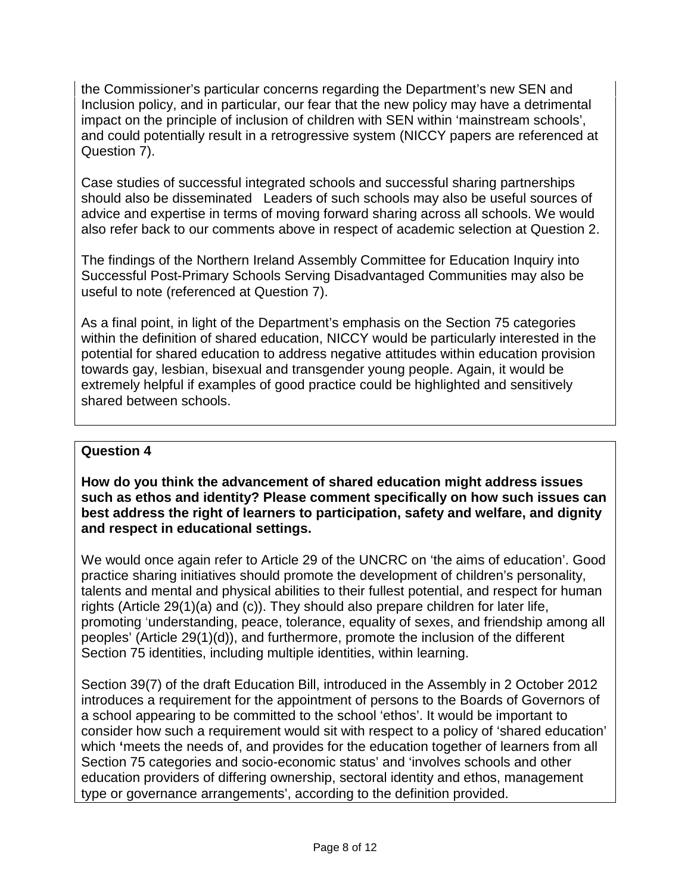the Commissioner's particular concerns regarding the Department's new SEN and Inclusion policy, and in particular, our fear that the new policy may have a detrimental impact on the principle of inclusion of children with SEN within 'mainstream schools', and could potentially result in a retrogressive system (NICCY papers are referenced at Question 7).

Case studies of successful integrated schools and successful sharing partnerships should also be disseminated Leaders of such schools may also be useful sources of advice and expertise in terms of moving forward sharing across all schools. We would also refer back to our comments above in respect of academic selection at Question 2.

The findings of the Northern Ireland Assembly Committee for Education Inquiry into Successful Post-Primary Schools Serving Disadvantaged Communities may also be useful to note (referenced at Question 7).

As a final point, in light of the Department's emphasis on the Section 75 categories within the definition of shared education, NICCY would be particularly interested in the potential for shared education to address negative attitudes within education provision towards gay, lesbian, bisexual and transgender young people. Again, it would be extremely helpful if examples of good practice could be highlighted and sensitively shared between schools.

## **Question 4**

**How do you think the advancement of shared education might address issues such as ethos and identity? Please comment specifically on how such issues can best address the right of learners to participation, safety and welfare, and dignity and respect in educational settings.** 

We would once again refer to Article 29 of the UNCRC on 'the aims of education'. Good practice sharing initiatives should promote the development of children's personality, talents and mental and physical abilities to their fullest potential, and respect for human rights (Article 29(1)(a) and (c)). They should also prepare children for later life, promoting 'understanding, peace, tolerance, equality of sexes, and friendship among all peoples' (Article 29(1)(d)), and furthermore, promote the inclusion of the different Section 75 identities, including multiple identities, within learning.

Section 39(7) of the draft Education Bill, introduced in the Assembly in 2 October 2012 introduces a requirement for the appointment of persons to the Boards of Governors of a school appearing to be committed to the school 'ethos'. It would be important to consider how such a requirement would sit with respect to a policy of 'shared education' which **'**meets the needs of, and provides for the education together of learners from all Section 75 categories and socio-economic status' and 'involves schools and other education providers of differing ownership, sectoral identity and ethos, management type or governance arrangements', according to the definition provided.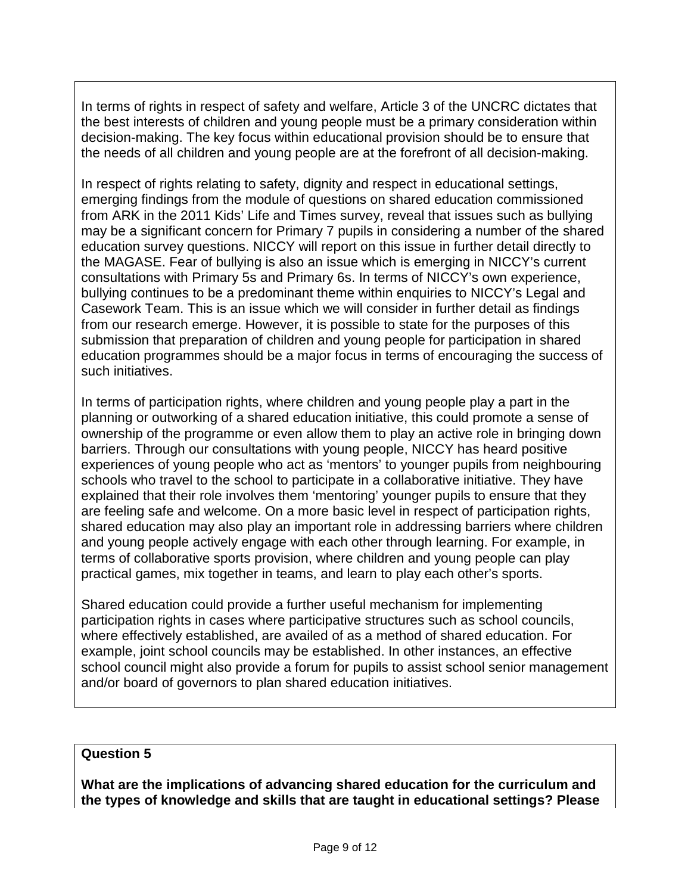In terms of rights in respect of safety and welfare, Article 3 of the UNCRC dictates that the best interests of children and young people must be a primary consideration within decision-making. The key focus within educational provision should be to ensure that the needs of all children and young people are at the forefront of all decision-making.

In respect of rights relating to safety, dignity and respect in educational settings, emerging findings from the module of questions on shared education commissioned from ARK in the 2011 Kids' Life and Times survey, reveal that issues such as bullying may be a significant concern for Primary 7 pupils in considering a number of the shared education survey questions. NICCY will report on this issue in further detail directly to the MAGASE. Fear of bullying is also an issue which is emerging in NICCY's current consultations with Primary 5s and Primary 6s. In terms of NICCY's own experience, bullying continues to be a predominant theme within enquiries to NICCY's Legal and Casework Team. This is an issue which we will consider in further detail as findings from our research emerge. However, it is possible to state for the purposes of this submission that preparation of children and young people for participation in shared education programmes should be a major focus in terms of encouraging the success of such initiatives.

In terms of participation rights, where children and young people play a part in the planning or outworking of a shared education initiative, this could promote a sense of ownership of the programme or even allow them to play an active role in bringing down barriers. Through our consultations with young people, NICCY has heard positive experiences of young people who act as 'mentors' to younger pupils from neighbouring schools who travel to the school to participate in a collaborative initiative. They have explained that their role involves them 'mentoring' younger pupils to ensure that they are feeling safe and welcome. On a more basic level in respect of participation rights, shared education may also play an important role in addressing barriers where children and young people actively engage with each other through learning. For example, in terms of collaborative sports provision, where children and young people can play practical games, mix together in teams, and learn to play each other's sports.

Shared education could provide a further useful mechanism for implementing participation rights in cases where participative structures such as school councils, where effectively established, are availed of as a method of shared education. For example, joint school councils may be established. In other instances, an effective school council might also provide a forum for pupils to assist school senior management and/or board of governors to plan shared education initiatives.

## **Question 5**

**What are the implications of advancing shared education for the curriculum and the types of knowledge and skills that are taught in educational settings? Please**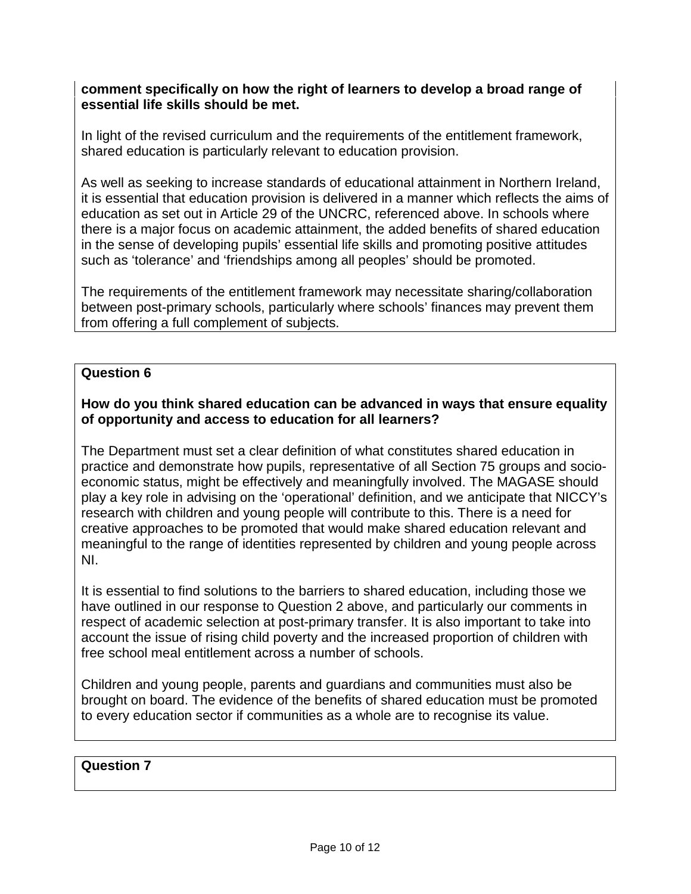## **comment specifically on how the right of learners to develop a broad range of essential life skills should be met.**

In light of the revised curriculum and the requirements of the entitlement framework, shared education is particularly relevant to education provision.

As well as seeking to increase standards of educational attainment in Northern Ireland, it is essential that education provision is delivered in a manner which reflects the aims of education as set out in Article 29 of the UNCRC, referenced above. In schools where there is a major focus on academic attainment, the added benefits of shared education in the sense of developing pupils' essential life skills and promoting positive attitudes such as 'tolerance' and 'friendships among all peoples' should be promoted.

The requirements of the entitlement framework may necessitate sharing/collaboration between post-primary schools, particularly where schools' finances may prevent them from offering a full complement of subjects.

## **Question 6**

## **How do you think shared education can be advanced in ways that ensure equality of opportunity and access to education for all learners?**

The Department must set a clear definition of what constitutes shared education in practice and demonstrate how pupils, representative of all Section 75 groups and socioeconomic status, might be effectively and meaningfully involved. The MAGASE should play a key role in advising on the 'operational' definition, and we anticipate that NICCY's research with children and young people will contribute to this. There is a need for creative approaches to be promoted that would make shared education relevant and meaningful to the range of identities represented by children and young people across NI.

It is essential to find solutions to the barriers to shared education, including those we have outlined in our response to Question 2 above, and particularly our comments in respect of academic selection at post-primary transfer. It is also important to take into account the issue of rising child poverty and the increased proportion of children with free school meal entitlement across a number of schools.

Children and young people, parents and guardians and communities must also be brought on board. The evidence of the benefits of shared education must be promoted to every education sector if communities as a whole are to recognise its value.

## **Question 7**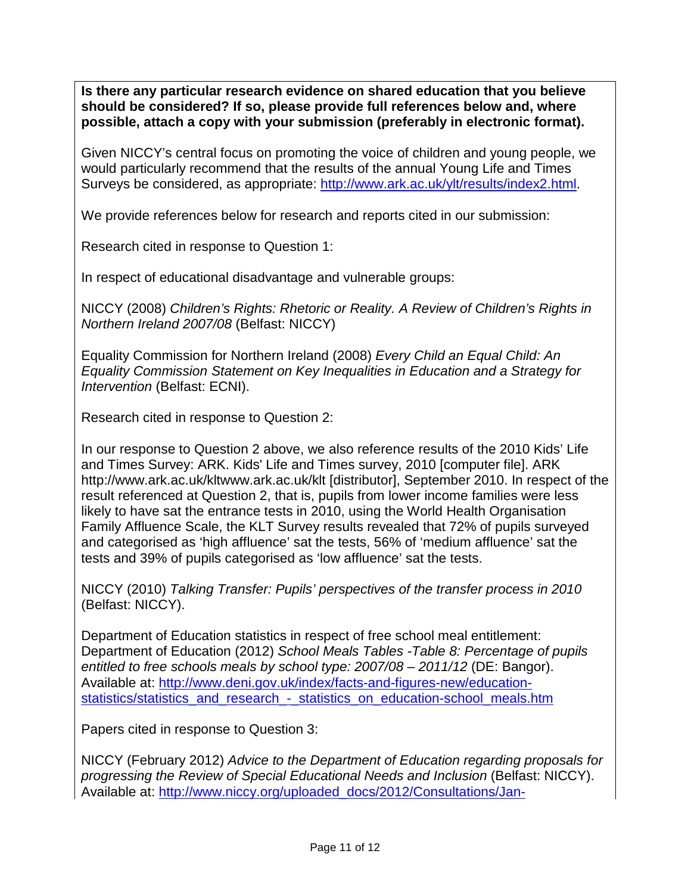**Is there any particular research evidence on shared education that you believe should be considered? If so, please provide full references below and, where possible, attach a copy with your submission (preferably in electronic format).**

Given NICCY's central focus on promoting the voice of children and young people, we would particularly recommend that the results of the annual Young Life and Times Surveys be considered, as appropriate: [http://www.ark.ac.uk/ylt/results/index2.html.](http://www.ark.ac.uk/ylt/results/index2.html)

We provide references below for research and reports cited in our submission:

Research cited in response to Question 1:

In respect of educational disadvantage and vulnerable groups:

NICCY (2008) *Children's Rights: Rhetoric or Reality. A Review of Children's Rights in Northern Ireland 2007/08* (Belfast: NICCY)

Equality Commission for Northern Ireland (2008) *Every Child an Equal Child: An Equality Commission Statement on Key Inequalities in Education and a Strategy for Intervention (Belfast: ECNI).* 

Research cited in response to Question 2:

In our response to Question 2 above, we also reference results of the 2010 Kids' Life and Times Survey: ARK. Kids' Life and Times survey, 2010 [computer file]. ARK http://www.ark.ac.uk/kltwww.ark.ac.uk/klt [distributor], September 2010. In respect of the result referenced at Question 2, that is, pupils from lower income families were less likely to have sat the entrance tests in 2010, using the World Health Organisation Family Affluence Scale, the KLT Survey results revealed that 72% of pupils surveyed and categorised as 'high affluence' sat the tests, 56% of 'medium affluence' sat the tests and 39% of pupils categorised as 'low affluence' sat the tests.

NICCY (2010) *Talking Transfer: Pupils' perspectives of the transfer process in 2010* (Belfast: NICCY).

Department of Education statistics in respect of free school meal entitlement: Department of Education (2012) *School Meals Tables -Table 8: Percentage of pupils entitled to free schools meals by school type: 2007/08 – 2011/12* (DE: Bangor). Available at: [http://www.deni.gov.uk/index/facts-and-figures-new/education](http://www.deni.gov.uk/index/facts-and-figures-new/education-statistics/statistics_and_research_-_statistics_on_education-school_meals.htm)[statistics/statistics\\_and\\_research\\_-\\_statistics\\_on\\_education-school\\_meals.htm](http://www.deni.gov.uk/index/facts-and-figures-new/education-statistics/statistics_and_research_-_statistics_on_education-school_meals.htm)

Papers cited in response to Question 3:

NICCY (February 2012) *Advice to the Department of Education regarding proposals for progressing the Review of Special Educational Needs and Inclusion* (Belfast: NICCY). Available at: [http://www.niccy.org/uploaded\\_docs/2012/Consultations/Jan-](http://www.niccy.org/uploaded_docs/2012/Consultations/Jan-Mar/Advice%20paper%20on%20updated%20SEN%20proposals%20FINAL%20word%20version.pdf)